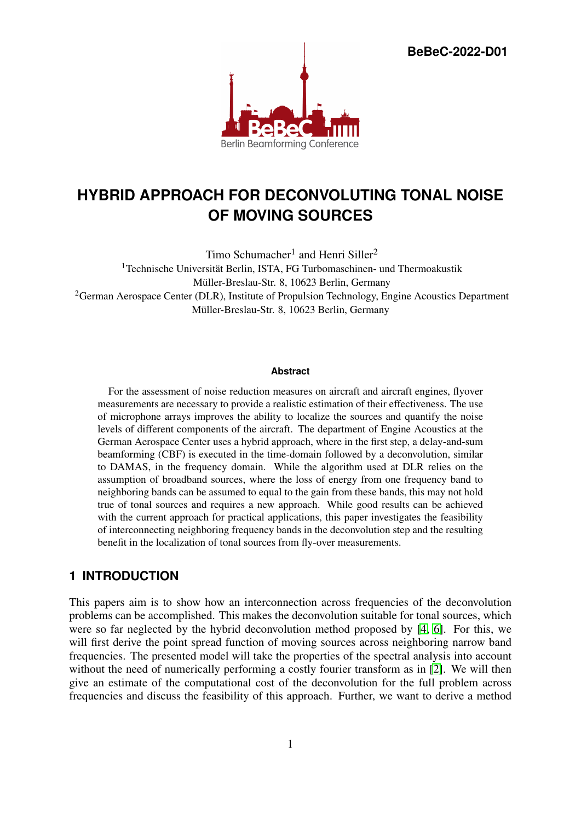**BeBeC-2022-D01**



# **HYBRID APPROACH FOR DECONVOLUTING TONAL NOISE OF MOVING SOURCES**

Timo Schumacher<sup>1</sup> and Henri Siller<sup>2</sup>

<sup>1</sup>Technische Universität Berlin, ISTA, FG Turbomaschinen- und Thermoakustik Müller-Breslau-Str. 8, 10623 Berlin, Germany <sup>2</sup>German Aerospace Center (DLR), Institute of Propulsion Technology, Engine Acoustics Department Müller-Breslau-Str. 8, 10623 Berlin, Germany

#### **Abstract**

For the assessment of noise reduction measures on aircraft and aircraft engines, flyover measurements are necessary to provide a realistic estimation of their effectiveness. The use of microphone arrays improves the ability to localize the sources and quantify the noise levels of different components of the aircraft. The department of Engine Acoustics at the German Aerospace Center uses a hybrid approach, where in the first step, a delay-and-sum beamforming (CBF) is executed in the time-domain followed by a deconvolution, similar to DAMAS, in the frequency domain. While the algorithm used at DLR relies on the assumption of broadband sources, where the loss of energy from one frequency band to neighboring bands can be assumed to equal to the gain from these bands, this may not hold true of tonal sources and requires a new approach. While good results can be achieved with the current approach for practical applications, this paper investigates the feasibility of interconnecting neighboring frequency bands in the deconvolution step and the resulting benefit in the localization of tonal sources from fly-over measurements.

# **1 INTRODUCTION**

This papers aim is to show how an interconnection across frequencies of the deconvolution problems can be accomplished. This makes the deconvolution suitable for tonal sources, which were so far neglected by the hybrid deconvolution method proposed by [\[4,](#page-10-0) [6\]](#page-10-1). For this, we will first derive the point spread function of moving sources across neighboring narrow band frequencies. The presented model will take the properties of the spectral analysis into account without the need of numerically performing a costly fourier transform as in [\[2\]](#page-10-2). We will then give an estimate of the computational cost of the deconvolution for the full problem across frequencies and discuss the feasibility of this approach. Further, we want to derive a method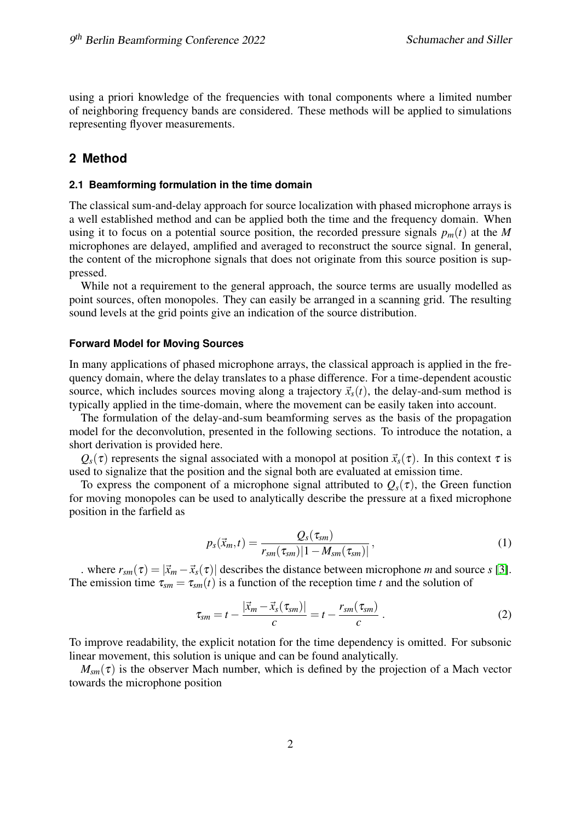using a priori knowledge of the frequencies with tonal components where a limited number of neighboring frequency bands are considered. These methods will be applied to simulations representing flyover measurements.

# **2 Method**

## **2.1 Beamforming formulation in the time domain**

The classical sum-and-delay approach for source localization with phased microphone arrays is a well established method and can be applied both the time and the frequency domain. When using it to focus on a potential source position, the recorded pressure signals  $p_m(t)$  at the *M* microphones are delayed, amplified and averaged to reconstruct the source signal. In general, the content of the microphone signals that does not originate from this source position is suppressed.

While not a requirement to the general approach, the source terms are usually modelled as point sources, often monopoles. They can easily be arranged in a scanning grid. The resulting sound levels at the grid points give an indication of the source distribution.

### <span id="page-1-0"></span>**Forward Model for Moving Sources**

In many applications of phased microphone arrays, the classical approach is applied in the frequency domain, where the delay translates to a phase difference. For a time-dependent acoustic source, which includes sources moving along a trajectory  $\vec{x}_s(t)$ , the delay-and-sum method is typically applied in the time-domain, where the movement can be easily taken into account.

The formulation of the delay-and-sum beamforming serves as the basis of the propagation model for the deconvolution, presented in the following sections. To introduce the notation, a short derivation is provided here.

 $Q_s(\tau)$  represents the signal associated with a monopol at position  $\vec{x}_s(\tau)$ . In this context  $\tau$  is used to signalize that the position and the signal both are evaluated at emission time.

To express the component of a microphone signal attributed to  $Q_s(\tau)$ , the Green function for moving monopoles can be used to analytically describe the pressure at a fixed microphone position in the farfield as

<span id="page-1-1"></span>
$$
p_s(\vec{x}_m, t) = \frac{Q_s(\tau_{sm})}{r_{sm}(\tau_{sm})|1 - M_{sm}(\tau_{sm})|},
$$
\n(1)

. where  $r_{sm}(\tau) = |\vec{x}_m - \vec{x}_s(\tau)|$  describes the distance between microphone *m* and source *s* [\[3\]](#page-10-3). The emission time  $\tau_{sm} = \tau_{sm}(t)$  is a function of the reception time *t* and the solution of

$$
\tau_{sm} = t - \frac{|\vec{x}_m - \vec{x}_s(\tau_{sm})|}{c} = t - \frac{r_{sm}(\tau_{sm})}{c} \,. \tag{2}
$$

To improve readability, the explicit notation for the time dependency is omitted. For subsonic linear movement, this solution is unique and can be found analytically.

 $M_{sm}(\tau)$  is the observer Mach number, which is defined by the projection of a Mach vector towards the microphone position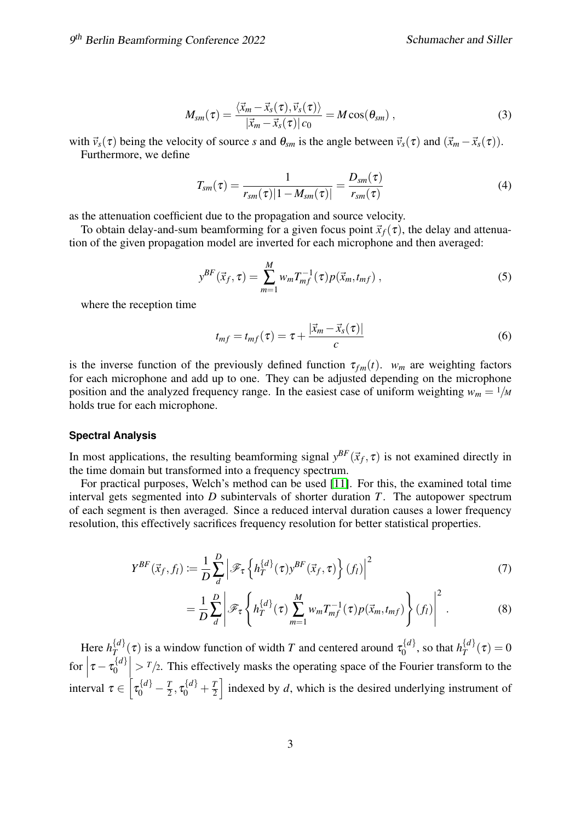$$
M_{sm}(\tau) = \frac{\langle \vec{x}_m - \vec{x}_s(\tau), \vec{v}_s(\tau) \rangle}{|\vec{x}_m - \vec{x}_s(\tau)| c_0} = M \cos(\theta_{sm}), \qquad (3)
$$

with  $\vec{v}_s(\tau)$  being the velocity of source *s* and  $\theta_{sm}$  is the angle between  $\vec{v}_s(\tau)$  and  $(\vec{x}_m - \vec{x}_s(\tau))$ . Furthermore, we define

$$
T_{sm}(\tau) = \frac{1}{r_{sm}(\tau)|1 - M_{sm}(\tau)|} = \frac{D_{sm}(\tau)}{r_{sm}(\tau)}
$$
(4)

as the attenuation coefficient due to the propagation and source velocity.

To obtain delay-and-sum beamforming for a given focus point  $\vec{x}_f(\tau)$ , the delay and attenuation of the given propagation model are inverted for each microphone and then averaged:

<span id="page-2-0"></span>
$$
y^{BF}(\vec{x}_f, \tau) = \sum_{m=1}^{M} w_m T_{mf}^{-1}(\tau) p(\vec{x}_m, t_{mf}), \qquad (5)
$$

where the reception time

$$
t_{mf} = t_{mf}(\tau) = \tau + \frac{|\vec{x}_m - \vec{x}_s(\tau)|}{c}
$$
 (6)

is the inverse function of the previously defined function  $\tau_{fm}(t)$ .  $w_m$  are weighting factors for each microphone and add up to one. They can be adjusted depending on the microphone position and the analyzed frequency range. In the easiest case of uniform weighting  $w_m = \frac{1}{M}$ holds true for each microphone.

## **Spectral Analysis**

In most applications, the resulting beamforming signal  $y^{BF}(\vec{x}_f, \tau)$  is not examined directly in the time domain but transformed into a frequency spectrum.

For practical purposes, Welch's method can be used [\[11\]](#page-10-4). For this, the examined total time interval gets segmented into *D* subintervals of shorter duration *T*. The autopower spectrum of each segment is then averaged. Since a reduced interval duration causes a lower frequency resolution, this effectively sacrifices frequency resolution for better statistical properties.

$$
Y^{BF}(\vec{x}_f, f_l) := \frac{1}{D} \sum_{d}^{D} \left| \mathcal{F}_{\tau} \left\{ h_T^{\{d\}}(\tau) y^{BF}(\vec{x}_f, \tau) \right\}(f_l) \right|^2 \tag{7}
$$

$$
=\frac{1}{D}\sum_{d}^{D}\left|\mathscr{F}_{\tau}\left\{h_{T}^{\{d\}}(\tau)\sum_{m=1}^{M}w_{m}T_{mf}^{-1}(\tau)p(\vec{x}_{m},t_{mf})\right\}(f_{l})\right|^{2}.
$$
\n(8)

Here  $h_T^{\{d\}}$  $T_T^{\{d\}}(\tau)$  is a window function of width *T* and centered around  $\tau_0^{\{d\}}$  $\mathcal{L}_{0}^{\{d\}}$ , so that  $h_T^{\{d\}}$  $\int_T^{u_f} (\tau) = 0$ for  $\left|\tau-\tau_0^{\{d\}}\right|$ 0  $> T/2$ . This effectively masks the operating space of the Fourier transform to the interval  $\tau \in \left[ \tau_0^{\{d\}} - \frac{T}{2} \right]$  $\frac{T}{2}, \tau_0^{\{d\}} + \frac{T}{2}$ 2 indexed by  $d$ , which is the desired underlying instrument of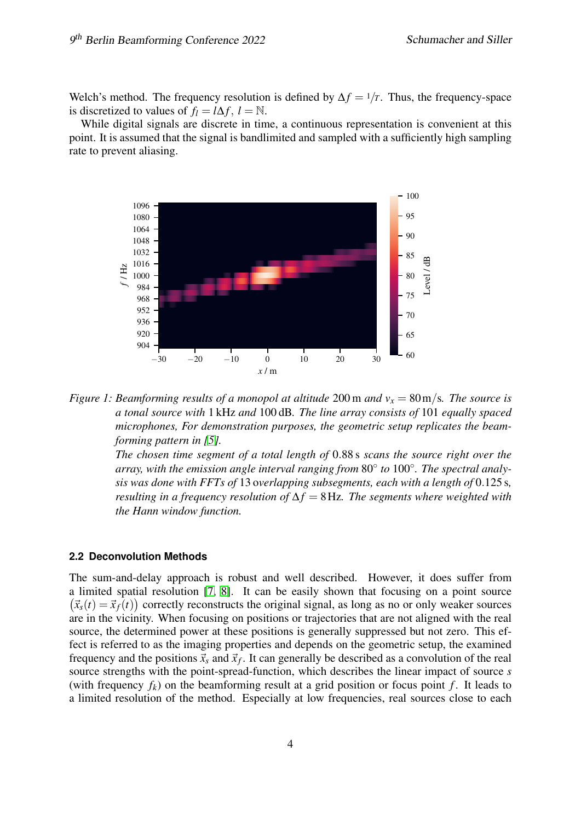Welch's method. The frequency resolution is defined by  $\Delta f = 1/T$ . Thus, the frequency-space is discretized to values of  $f_l = l\Delta f$ ,  $l = N$ .

While digital signals are discrete in time, a continuous representation is convenient at this point. It is assumed that the signal is bandlimited and sampled with a sufficiently high sampling rate to prevent aliasing.



*Figure 1: Beamforming results of a monopol at altitude* 200 m *and v<sup>x</sup>* = 80m/s*. The source is a tonal source with* 1 kHz *and* 100 dB*. The line array consists of* 101 *equally spaced microphones, For demonstration purposes, the geometric setup replicates the beamforming pattern in [\[5\]](#page-10-5).*

*The chosen time segment of a total length of* 0.88 s *scans the source right over the array, with the emission angle interval ranging from* 80◦ *to* 100◦ *. The spectral analysis was done with FFTs of* 13 o*verlapping subsegments, each with a length of* 0.125 s*, resulting in a frequency resolution of* ∆*f* = 8Hz*. The segments where weighted with the Hann window function.*

## **2.2 Deconvolution Methods**

The sum-and-delay approach is robust and well described. However, it does suffer from a limited spatial resolution [\[7,](#page-10-6) [8\]](#page-10-7). It can be easily shown that focusing on a point source  $(\vec{x}_s(t) = \vec{x}_f(t))$  correctly reconstructs the original signal, as long as no or only weaker sources are in the vicinity. When focusing on positions or trajectories that are not aligned with the real source, the determined power at these positions is generally suppressed but not zero. This effect is referred to as the imaging properties and depends on the geometric setup, the examined frequency and the positions  $\vec{x}_s$  and  $\vec{x}_f$ . It can generally be described as a convolution of the real source strengths with the point-spread-function, which describes the linear impact of source *s* (with frequency  $f_k$ ) on the beamforming result at a grid position or focus point  $f$ . It leads to a limited resolution of the method. Especially at low frequencies, real sources close to each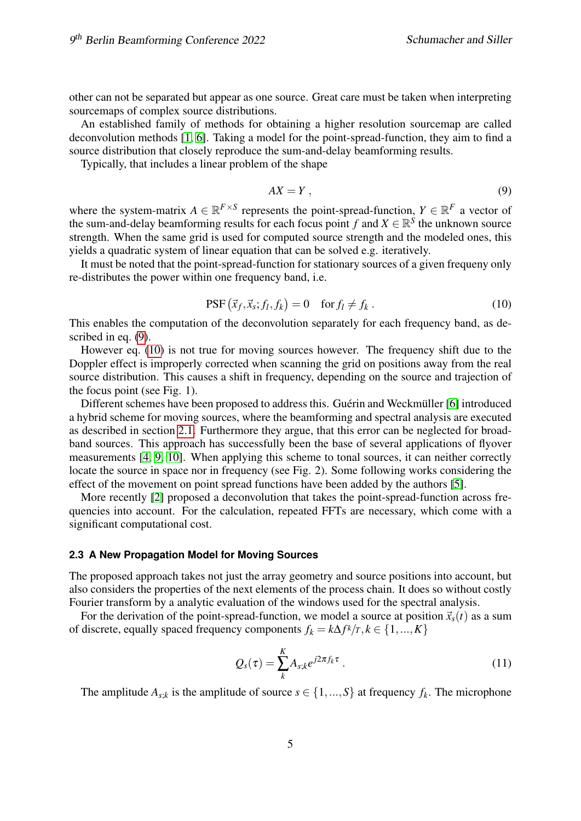other can not be separated but appear as one source. Great care must be taken when interpreting sourcemaps of complex source distributions.

An established family of methods for obtaining a higher resolution sourcemap are called deconvolution methods [\[1,](#page-9-0) [6\]](#page-10-1). Taking a model for the point-spread-function, they aim to find a source distribution that closely reproduce the sum-and-delay beamforming results.

Typically, that includes a linear problem of the shape

<span id="page-4-0"></span>
$$
AX = Y \t{, \t(9)}
$$

where the system-matrix  $A \in \mathbb{R}^{F \times S}$  represents the point-spread-function,  $Y \in \mathbb{R}^F$  a vector of the sum-and-delay beamforming results for each focus point *f* and  $X \in \mathbb{R}^S$  the unknown source strength. When the same grid is used for computed source strength and the modeled ones, this yields a quadratic system of linear equation that can be solved e.g. iteratively.

It must be noted that the point-spread-function for stationary sources of a given frequeny only re-distributes the power within one frequency band, i.e.

<span id="page-4-1"></span>
$$
\text{PSF}\left(\vec{x}_f, \vec{x}_s; f_l, f_k\right) = 0 \quad \text{for } f_l \neq f_k \,. \tag{10}
$$

This enables the computation of the deconvolution separately for each frequency band, as described in eq.  $(9)$ .

However eq. [\(10\)](#page-4-1) is not true for moving sources however. The frequency shift due to the Doppler effect is improperly corrected when scanning the grid on positions away from the real source distribution. This causes a shift in frequency, depending on the source and trajection of the focus point (see Fig. 1).

Different schemes have been proposed to address this. Guérin and Weckmüller [\[6\]](#page-10-1) introduced a hybrid scheme for moving sources, where the beamforming and spectral analysis are executed as described in section [2.1.](#page-1-0) Furthermore they argue, that this error can be neglected for broadband sources. This approach has successfully been the base of several applications of flyover measurements [\[4,](#page-10-0) [9,](#page-10-8) [10\]](#page-10-9). When applying this scheme to tonal sources, it can neither correctly locate the source in space nor in frequency (see Fig. 2). Some following works considering the effect of the movement on point spread functions have been added by the authors [\[5\]](#page-10-5).

More recently [\[2\]](#page-10-2) proposed a deconvolution that takes the point-spread-function across frequencies into account. For the calculation, repeated FFTs are necessary, which come with a significant computational cost.

#### **2.3 A New Propagation Model for Moving Sources**

The proposed approach takes not just the array geometry and source positions into account, but also considers the properties of the next elements of the process chain. It does so without costly Fourier transform by a analytic evaluation of the windows used for the spectral analysis.

For the derivation of the point-spread-function, we model a source at position  $\vec{x}_s(t)$  as a sum of discrete, equally spaced frequency components  $f_k = k\Delta f^k / T, k \in \{1, ..., K\}$ 

$$
Q_s(\tau) = \sum_{k}^{K} A_{s;k} e^{j2\pi f_k \tau} \,. \tag{11}
$$

The amplitude  $A_{s;k}$  is the amplitude of source  $s \in \{1,...,S\}$  at frequency  $f_k$ . The microphone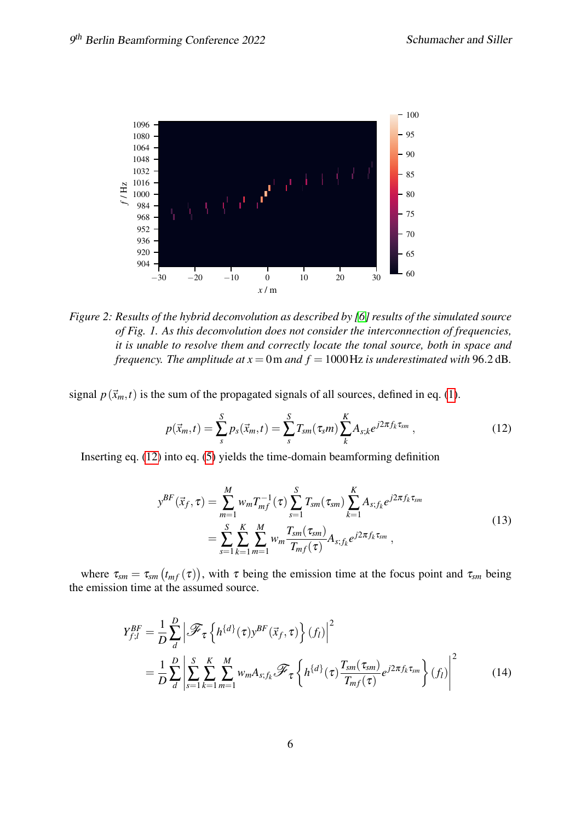

*Figure 2: Results of the hybrid deconvolution as described by [\[6\]](#page-10-1) results of the simulated source of Fig. 1. As this deconvolution does not consider the interconnection of frequencies, it is unable to resolve them and correctly locate the tonal source, both in space and frequency. The amplitude at*  $x = 0$  m *and*  $f = 1000$  Hz *is underestimated with* 96.2 dB.

signal  $p(\vec{x}_m, t)$  is the sum of the propagated signals of all sources, defined in eq. [\(1\)](#page-1-1).

<span id="page-5-0"></span>
$$
p(\vec{x}_m, t) = \sum_{s}^{S} p_s(\vec{x}_m, t) = \sum_{s}^{S} T_{sm}(\tau_s m) \sum_{k}^{K} A_{s;k} e^{j2\pi f_k \tau_{sm}}, \qquad (12)
$$

Inserting eq. [\(12\)](#page-5-0) into eq. [\(5\)](#page-2-0) yields the time-domain beamforming definition

$$
y^{BF}(\vec{x}_f, \tau) = \sum_{m=1}^{M} w_m T_{mf}^{-1}(\tau) \sum_{s=1}^{S} T_{sm}(\tau_{sm}) \sum_{k=1}^{K} A_{s;f_k} e^{j2\pi f_k \tau_{sm}}
$$
  
= 
$$
\sum_{s=1}^{S} \sum_{k=1}^{K} \sum_{m=1}^{M} w_m \frac{T_{sm}(\tau_{sm})}{T_{mf}(\tau)} A_{s;f_k} e^{j2\pi f_k \tau_{sm}},
$$
(13)

where  $\tau_{sm} = \tau_{sm}(t_{mf}(\tau))$ , with  $\tau$  being the emission time at the focus point and  $\tau_{sm}$  being the emission time at the assumed source.

<span id="page-5-1"></span>
$$
Y_{f;l}^{BF} = \frac{1}{D} \sum_{d}^{D} \left| \mathcal{F}_{\tau} \left\{ h^{\{d\}}(\tau) y^{BF}(\vec{x}_f, \tau) \right\} (f_l) \right|^2
$$
  

$$
= \frac{1}{D} \sum_{d}^{D} \left| \sum_{s=1}^{S} \sum_{k=1}^{K} \sum_{m=1}^{M} w_m A_{s;f_k} \mathcal{F}_{\tau} \left\{ h^{\{d\}}(\tau) \frac{T_{sm}(\tau_{sm})}{T_{mf}(\tau)} e^{j2\pi f_k \tau_{sm}} \right\} (f_l) \right|^2
$$
(14)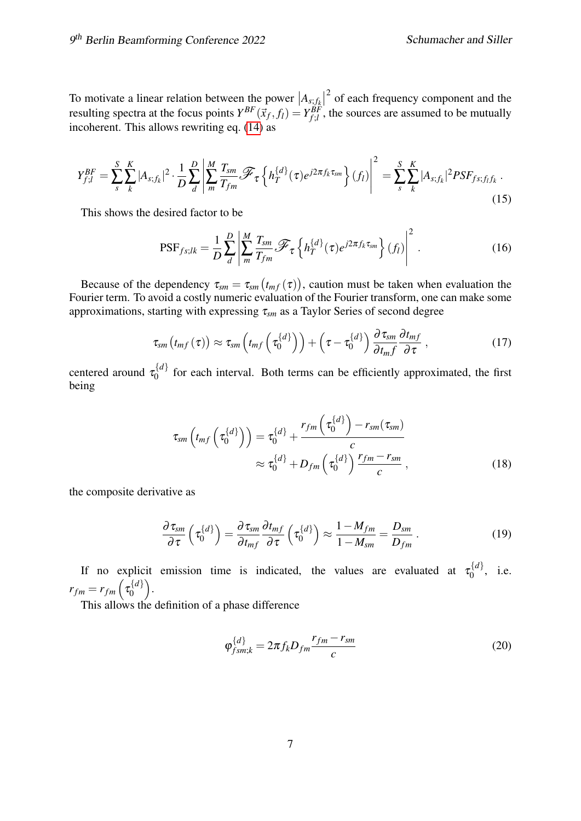To motivate a linear relation between the power  $\begin{bmatrix} A_{s,f_k} \end{bmatrix}$  $2$  of each frequency component and the resulting spectra at the focus points  $Y^{BF}(\vec{x}_f, f_l) = Y^{BF}_{f,l}$  $f_{j,l}^{BF}$ , the sources are assumed to be mutually incoherent. This allows rewriting eq. [\(14\)](#page-5-1) as

$$
Y_{f;l}^{BF} = \sum_{s}^{S} \sum_{k}^{K} |A_{s;f_k}|^2 \cdot \frac{1}{D} \sum_{d}^{D} \left| \sum_{m}^{M} \frac{T_{sm}}{T_{fm}} \mathcal{F}_{\tau} \left\{ h_T^{\{d\}}(\tau) e^{j2\pi f_k \tau_{sm}} \right\}(f_l) \right|^2 = \sum_{s}^{S} \sum_{k}^{K} |A_{s;f_k}|^2 PSF_{fs;f_l f_k} \,. \tag{15}
$$

This shows the desired factor to be

$$
\text{PSF}_{fs;lk} = \frac{1}{D} \sum_{d}^{D} \left| \sum_{m}^{M} \frac{T_{sm}}{T_{fm}} \mathcal{F}_{\tau} \left\{ h_T^{\{d\}}(\tau) e^{j2\pi f_k \tau_{sm}} \right\}(f_l) \right|^2.
$$
 (16)

Because of the dependency  $\tau_{sm} = \tau_{sm}(t_{mf}(\tau))$ , caution must be taken when evaluation the Fourier term. To avoid a costly numeric evaluation of the Fourier transform, one can make some approximations, starting with expressing τ*sm* as a Taylor Series of second degree

$$
\tau_{sm}\left(t_{mf}\left(\tau\right)\right) \approx \tau_{sm}\left(t_{mf}\left(\tau_{0}^{\{d\}}\right)\right) + \left(\tau - \tau_{0}^{\{d\}}\right) \frac{\partial \tau_{sm}}{\partial t_{mf}} \frac{\partial t_{mf}}{\partial \tau},\tag{17}
$$

centered around  $\tau_0^{\{d\}}$  $\int_0^{\lambda}$  for each interval. Both terms can be efficiently approximated, the first being

$$
\tau_{sm}\left(t_{mf}\left(\tau_0^{\{d\}}\right)\right) = \tau_0^{\{d\}} + \frac{r_{fm}\left(\tau_0^{\{d\}}\right) - r_{sm}(\tau_{sm})}{c}
$$
\n
$$
\approx \tau_0^{\{d\}} + D_{fm}\left(\tau_0^{\{d\}}\right) \frac{r_{fm} - r_{sm}}{c},\tag{18}
$$

the composite derivative as

$$
\frac{\partial \tau_{sm}}{\partial \tau} \left( \tau_0^{\{d\}} \right) = \frac{\partial \tau_{sm}}{\partial t_{mf}} \frac{\partial t_{mf}}{\partial \tau} \left( \tau_0^{\{d\}} \right) \approx \frac{1 - M_{fm}}{1 - M_{sm}} = \frac{D_{sm}}{D_{fm}} \,. \tag{19}
$$

If no explicit emission time is indicated, the values are evaluated at  $\tau_0^{\{d\}}$  $i_0^{u_f}$ , i.e.  $r_{fm} = r_{fm} \left( \tau_0^{\{d\}} \right)$  $\boldsymbol{0}$ .

This allows the definition of a phase difference

$$
\varphi_{fsm;k}^{\{d\}} = 2\pi f_k D_{fm} \frac{r_{fm} - r_{sm}}{c}
$$
\n(20)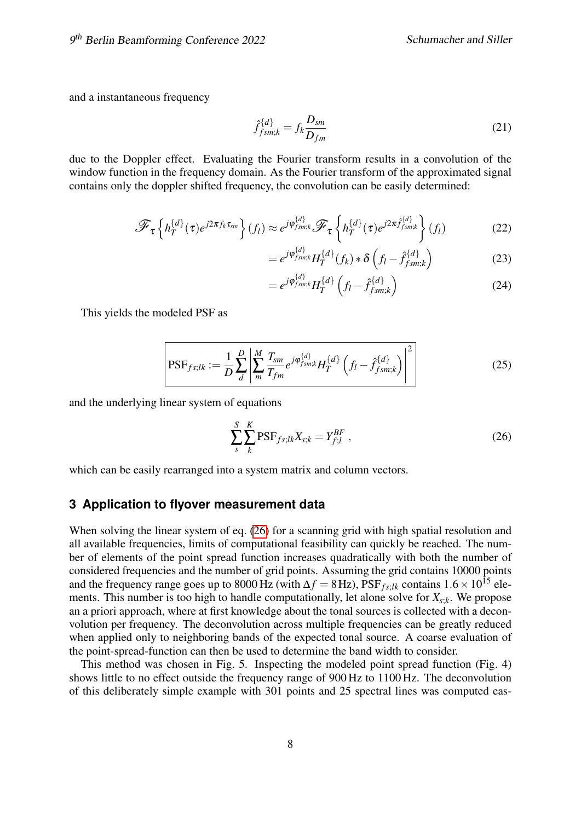and a instantaneous frequency

$$
\hat{f}_{fsm;k}^{\{d\}} = f_k \frac{D_{sm}}{D_{fm}}\tag{21}
$$

due to the Doppler effect. Evaluating the Fourier transform results in a convolution of the window function in the frequency domain. As the Fourier transform of the approximated signal contains only the doppler shifted frequency, the convolution can be easily determined:

$$
\mathscr{F}_{\tau}\left\{h_T^{\{d\}}(\tau)e^{j2\pi f_k \tau_{sm}}\right\}(f_l) \approx e^{j\varphi_{fsm;k}^{\{d\}}}\mathscr{F}_{\tau}\left\{h_T^{\{d\}}(\tau)e^{j2\pi \hat{f}_{fsm;k}^{\{d\}}}\right\}(f_l)
$$
(22)

$$
= e^{j\varphi_{fsm;k}^{\{d\}} H_T^{\{d\}}(f_k) * \delta \left(f_l - \hat{f}_{fsm;k}^{\{d\}}\right)
$$
 (23)

<span id="page-7-1"></span>
$$
=e^{j\varphi_{fsm;k}^{\{d\}}}H_T^{\{d\}}\left(f_l-\hat{f}_{fsm;k}^{\{d\}}\right) \tag{24}
$$

This yields the modeled PSF as

$$
\left| \text{PSF}_{fs;lk} := \frac{1}{D} \sum_{d}^{D} \left| \sum_{m}^{M} \frac{T_{sm}}{T_{fm}} e^{j\varphi_{fsm;k}^{\{d\}}} H_T^{\{d\}} \left( f_l - \hat{f}_{fsm;k}^{\{d\}} \right) \right|^2 \right| \tag{25}
$$

and the underlying linear system of equations

<span id="page-7-0"></span>
$$
\sum_{s}^{S} \sum_{k}^{K} \text{PSF}_{fs;lk} X_{s;k} = Y_{f;l}^{BF} , \qquad (26)
$$

which can be easily rearranged into a system matrix and column vectors.

# **3 Application to flyover measurement data**

When solving the linear system of eq. [\(26\)](#page-7-0) for a scanning grid with high spatial resolution and all available frequencies, limits of computational feasibility can quickly be reached. The number of elements of the point spread function increases quadratically with both the number of considered frequencies and the number of grid points. Assuming the grid contains 10000 points and the frequency range goes up to 8000 Hz (with  $\Delta f = 8$  Hz), PSF<sub>*fs:lk*</sub> contains  $1.6 \times 10^{15}$  elements. This number is too high to handle computationally, let alone solve for *Xs*;*<sup>k</sup>* . We propose an a priori approach, where at first knowledge about the tonal sources is collected with a deconvolution per frequency. The deconvolution across multiple frequencies can be greatly reduced when applied only to neighboring bands of the expected tonal source. A coarse evaluation of the point-spread-function can then be used to determine the band width to consider.

This method was chosen in Fig. 5. Inspecting the modeled point spread function (Fig. 4) shows little to no effect outside the frequency range of 900 Hz to 1100 Hz. The deconvolution of this deliberately simple example with 301 points and 25 spectral lines was computed eas-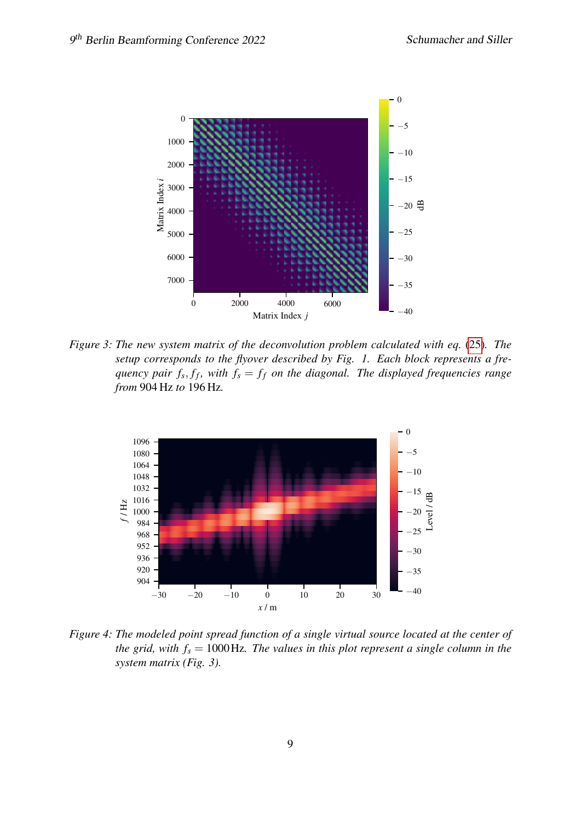

*Figure 3: The new system matrix of the deconvolution problem calculated with eq.* [\(25\)](#page-7-1)*. The setup corresponds to the flyover described by Fig. 1. Each block represents a frequency pair*  $f_s$ ,  $f_f$ , with  $f_s = f_f$  *on the diagonal. The displayed frequencies range from* 904 Hz *to* 196 Hz*.*



*Figure 4: The modeled point spread function of a single virtual source located at the center of the grid, with*  $f_s = 1000$  Hz. *The values in this plot represent a single column in the system matrix (Fig. 3).*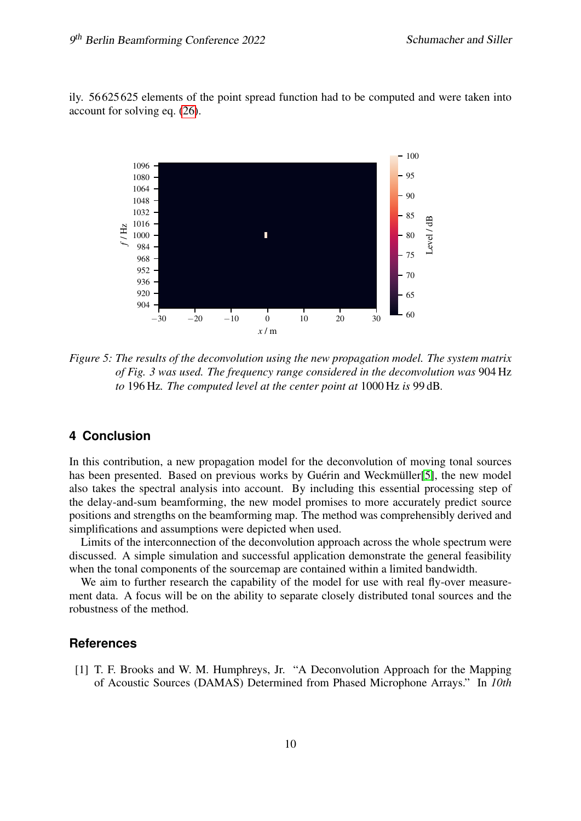ily. 56 625 625 elements of the point spread function had to be computed and were taken into account for solving eq. [\(26\)](#page-7-0).



*Figure 5: The results of the deconvolution using the new propagation model. The system matrix of Fig. 3 was used. The frequency range considered in the deconvolution was* 904 Hz *to* 196 Hz*. The computed level at the center point at* 1000 Hz *is* 99 dB*.*

# **4 Conclusion**

In this contribution, a new propagation model for the deconvolution of moving tonal sources has been presented. Based on previous works by Guérin and Weckmüller[\[5\]](#page-10-5), the new model also takes the spectral analysis into account. By including this essential processing step of the delay-and-sum beamforming, the new model promises to more accurately predict source positions and strengths on the beamforming map. The method was comprehensibly derived and simplifications and assumptions were depicted when used.

Limits of the interconnection of the deconvolution approach across the whole spectrum were discussed. A simple simulation and successful application demonstrate the general feasibility when the tonal components of the sourcemap are contained within a limited bandwidth.

We aim to further research the capability of the model for use with real fly-over measurement data. A focus will be on the ability to separate closely distributed tonal sources and the robustness of the method.

# **References**

<span id="page-9-0"></span>[1] T. F. Brooks and W. M. Humphreys, Jr. "A Deconvolution Approach for the Mapping of Acoustic Sources (DAMAS) Determined from Phased Microphone Arrays." In *10th*